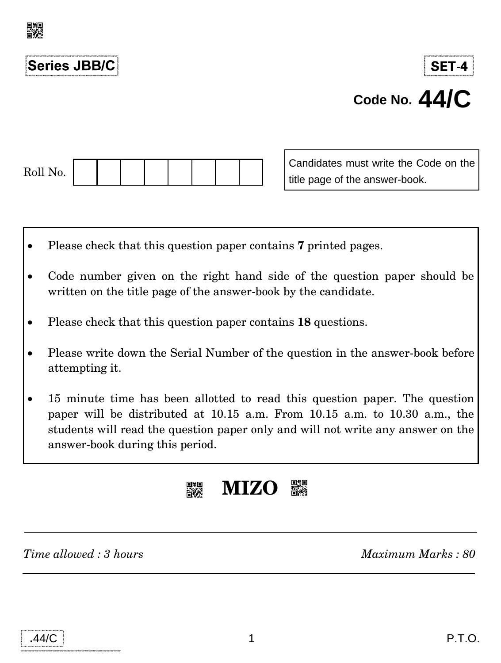

# **Series JBB/C**

# **SET-4 Code No. 44/C**

| Roll No. |  |  |  |  |
|----------|--|--|--|--|

Candidates must write the Code on the title page of the answer-book.

- Please check that this question paper contains **7** printed pages.
- Code number given on the right hand side of the question paper should be written on the title page of the answer-book by the candidate.
- Please check that this question paper contains **18** questions.
- Please write down the Serial Number of the question in the answer-book before attempting it.
- 15 minute time has been allotted to read this question paper. The question paper will be distributed at 10.15 a.m. From 10.15 a.m. to 10.30 a.m., the students will read the question paper only and will not write any answer on the answer-book during this period.



*Time allowed : 3 hours Maximum Marks : 80*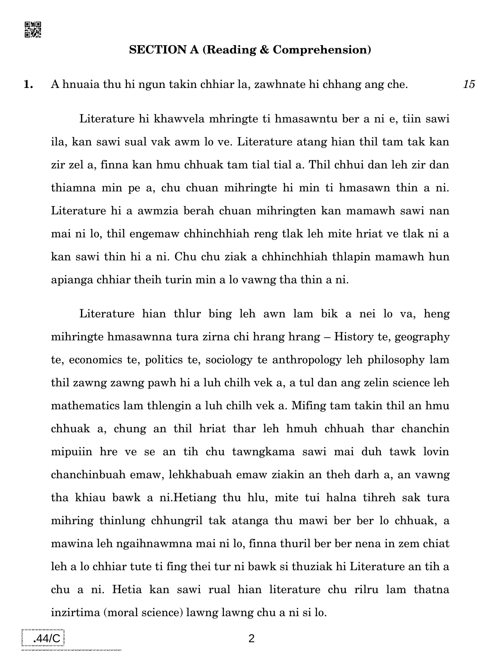

#### **SECTION A (Reading & Comprehension)**

#### **1.** A hnuaia thu hi ngun takin chhiar la, zawhnate hi chhang ang che. *15*

Literature hi khawvela mhringte ti hmasawntu ber a ni e, tiin sawi ila, kan sawi sual vak awm lo ve. Literature atang hian thil tam tak kan zir zel a, finna kan hmu chhuak tam tial tial a. Thil chhui dan leh zir dan thiamna min pe a, chu chuan mihringte hi min ti hmasawn thin a ni. Literature hi a awmzia berah chuan mihringten kan mamawh sawi nan mai ni lo, thil engemaw chhinchhiah reng tlak leh mite hriat ve tlak ni a kan sawi thin hi a ni. Chu chu ziak a chhinchhiah thlapin mamawh hun apianga chhiar theih turin min a lo vawng tha thin a ni.

Literature hian thlur bing leh awn lam bik a nei lo va, heng mihringte hmasawnna tura zirna chi hrang hrang – History te, geography te, economics te, politics te, sociology te anthropology leh philosophy lam thil zawng zawng pawh hi a luh chilh vek a, a tul dan ang zelin science leh mathematics lam thlengin a luh chilh vek a. Mifing tam takin thil an hmu chhuak a, chung an thil hriat thar leh hmuh chhuah thar chanchin mipuiin hre ve se an tih chu tawngkama sawi mai duh tawk lovin chanchinbuah emaw, lehkhabuah emaw ziakin an theh darh a, an vawng tha khiau bawk a ni.Hetiang thu hlu, mite tui halna tihreh sak tura mihring thinlung chhungril tak atanga thu mawi ber ber lo chhuak, a mawina leh ngaihnawmna mai ni lo, finna thuril ber ber nena in zem chiat leh a lo chhiar tute ti fing thei tur ni bawk si thuziak hi Literature an tih a chu a ni. Hetia kan sawi rual hian literature chu rilru lam thatna inzirtima (moral science) lawng lawng chu a ni si lo.

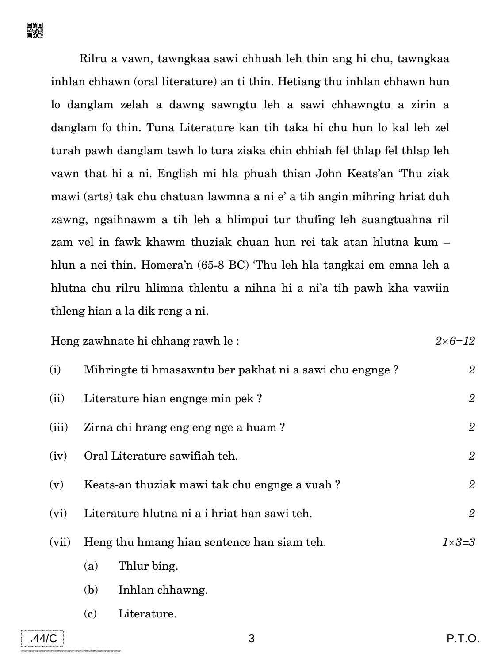Rilru a vawn, tawngkaa sawi chhuah leh thin ang hi chu, tawngkaa inhlan chhawn (oral literature) an ti thin. Hetiang thu inhlan chhawn hun lo danglam zelah a dawng sawngtu leh a sawi chhawngtu a zirin a danglam fo thin. Tuna Literature kan tih taka hi chu hun lo kal leh zel turah pawh danglam tawh lo tura ziaka chin chhiah fel thlap fel thlap leh vawn that hi a ni. English mi hla phuah thian John Keats'an 'Thu ziak mawi (arts) tak chu chatuan lawmna a ni e' a tih angin mihring hriat duh zawng, ngaihnawm a tih leh a hlimpui tur thufing leh suangtuahna ril zam vel in fawk khawm thuziak chuan hun rei tak atan hlutna kum – hlun a nei thin. Homera'n (65-8 BC) 'Thu leh hla tangkai em emna leh a hlutna chu rilru hlimna thlentu a nihna hi a ni'a tih pawh kha vawiin thleng hian a la dik reng a ni.

Heng zawhnate hi chhang rawh le : *26*=*12* (i) Mihringte ti hmasawntu ber pakhat ni a sawi chu engnge ? *2* (ii) Literature hian engnge min pek ? *2* (iii) Zirna chi hrang eng eng nge a huam ? *2* (iv) Oral Literature sawifiah teh. *2* (v) Keats-an thuziak mawi tak chu engnge a vuah ? *2* (vi) Literature hlutna ni a i hriat han sawi teh. *2* (vii) Heng thu hmang hian sentence han siam teh. *13*=*3* (a) Thlur bing. (b) Inhlan chhawng. (c) Literature.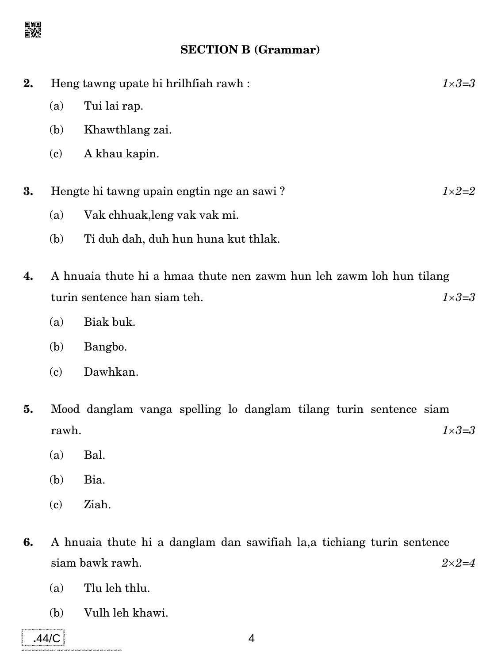

#### **SECTION B (Grammar)**

| 2. | Heng tawng upate hi hrilhfiah rawh:<br>$1 \times 3 = 3$             |                                     |  |  |
|----|---------------------------------------------------------------------|-------------------------------------|--|--|
|    | (a)                                                                 | Tui lai rap.                        |  |  |
|    | (b)                                                                 | Khawthlang zai.                     |  |  |
|    | (c)                                                                 | A khau kapin.                       |  |  |
|    |                                                                     |                                     |  |  |
| 3. | Hengte hi tawng upain engtin nge an sawi?<br>$1\times2=2$           |                                     |  |  |
|    | (a)                                                                 | Vak chhuak, leng vak vak mi.        |  |  |
|    | (b)                                                                 | Ti duh dah, duh hun huna kut thlak. |  |  |
|    |                                                                     |                                     |  |  |
| 4. | A hnuaia thute hi a hmaa thute nen zawm hun leh zawm loh hun tilang |                                     |  |  |
|    | turin sentence han siam teh.<br>1×3=3                               |                                     |  |  |

- (a) Biak buk.
- (b) Bangbo.
- (c) Dawhkan.
- **5.** Mood danglam vanga spelling lo danglam tilang turin sentence siam rawh.  $1 \times 3 = 3$ 
	- (a) Bal.
	- (b) Bia.
	- (c) Ziah.
- **6.** A hnuaia thute hi a danglam dan sawifiah la,a tichiang turin sentence  $2 \times 2 = 4$ 
	- (a) Tlu leh thlu.
	- (b) Vulh leh khawi.

**.**44/C **4**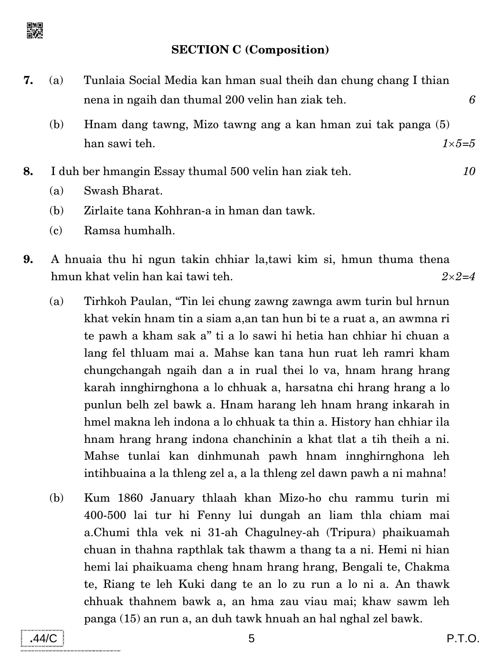#### **SECTION C (Composition)**

- **7.** (a) Tunlaia Social Media kan hman sual theih dan chung chang I thian nena in ngaih dan thumal 200 velin han ziak teh. *6*
	- (b) Hnam dang tawng, Mizo tawng ang a kan hman zui tak panga (5) han sawi teh. *15=5*
- **8.** I duh ber hmangin Essay thumal 500 velin han ziak teh. *10*
	- (a) Swash Bharat.
	- (b) Zirlaite tana Kohhran-a in hman dan tawk.
	- (c) Ramsa humhalh.
- **9.** A hnuaia thu hi ngun takin chhiar la,tawi kim si, hmun thuma thena hmun khat velin han kai tawi teh. *22=4*
	- (a) Tirhkoh Paulan, ''Tin lei chung zawng zawnga awm turin bul hrnun khat vekin hnam tin a siam a,an tan hun bi te a ruat a, an awmna ri te pawh a kham sak a'' ti a lo sawi hi hetia han chhiar hi chuan a lang fel thluam mai a. Mahse kan tana hun ruat leh ramri kham chungchangah ngaih dan a in rual thei lo va, hnam hrang hrang karah innghirnghona a lo chhuak a, harsatna chi hrang hrang a lo punlun belh zel bawk a. Hnam harang leh hnam hrang inkarah in hmel makna leh indona a lo chhuak ta thin a. History han chhiar ila hnam hrang hrang indona chanchinin a khat tlat a tih theih a ni. Mahse tunlai kan dinhmunah pawh hnam innghirnghona leh intihbuaina a la thleng zel a, a la thleng zel dawn pawh a ni mahna!
	- (b) Kum 1860 January thlaah khan Mizo-ho chu rammu turin mi 400-500 lai tur hi Fenny lui dungah an liam thla chiam mai a.Chumi thla vek ni 31-ah Chagulney-ah (Tripura) phaikuamah chuan in thahna rapthlak tak thawm a thang ta a ni. Hemi ni hian hemi lai phaikuama cheng hnam hrang hrang, Bengali te, Chakma te, Riang te leh Kuki dang te an lo zu run a lo ni a. An thawk chhuak thahnem bawk a, an hma zau viau mai; khaw sawm leh panga (15) an run a, an duh tawk hnuah an hal nghal zel bawk.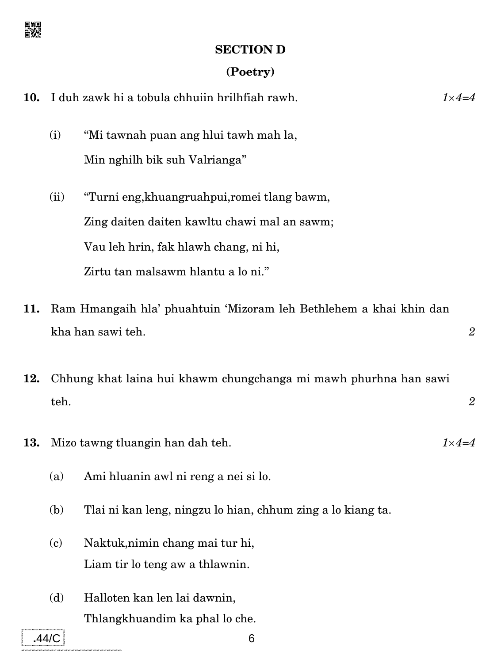# 日<br>日次

#### **SECTION D**

### **(Poetry)**

| 10. | I duh zawk hi a tobula chhuiin hrilhfiah rawh.<br>$1\times 4=4$    |                                                                    |                |  |  |  |  |
|-----|--------------------------------------------------------------------|--------------------------------------------------------------------|----------------|--|--|--|--|
|     | (i)                                                                | "Mi tawnah puan ang hlui tawh mah la,                              |                |  |  |  |  |
|     |                                                                    | Min nghilh bik suh Valrianga"                                      |                |  |  |  |  |
|     | (ii)                                                               | "Turni eng, khuangruahpui, romei tlang bawm,                       |                |  |  |  |  |
|     |                                                                    | Zing daiten daiten kawltu chawi mal an sawm;                       |                |  |  |  |  |
|     |                                                                    | Vau leh hrin, fak hlawh chang, ni hi,                              |                |  |  |  |  |
|     |                                                                    | Zirtu tan malsawm hlantu a lo ni."                                 |                |  |  |  |  |
| 11. | Ram Hmangaih hla' phuahtuin 'Mizoram leh Bethlehem a khai khin dan |                                                                    |                |  |  |  |  |
|     |                                                                    | kha han sawi teh.                                                  | $\overline{2}$ |  |  |  |  |
| 12. | Chhung khat laina hui khawm chungchanga mi mawh phurhna han sawi   |                                                                    |                |  |  |  |  |
|     | teh.                                                               |                                                                    | $\overline{2}$ |  |  |  |  |
| 13. | $1\times 4=4$<br>Mizo tawng tluangin han dah teh.                  |                                                                    |                |  |  |  |  |
|     | (a)                                                                | Ami hluanin awl ni reng a nei si lo.                               |                |  |  |  |  |
|     | (b)                                                                | Tlai ni kan leng, ningzu lo hian, chhum zing a lo kiang ta.        |                |  |  |  |  |
|     | (c)                                                                | Naktuk, nimin chang mai tur hi,<br>Liam tir lo teng aw a thlawnin. |                |  |  |  |  |

(d) Halloten kan len lai dawnin, Thlangkhuandim ka phal lo che.

**.44/C** 6